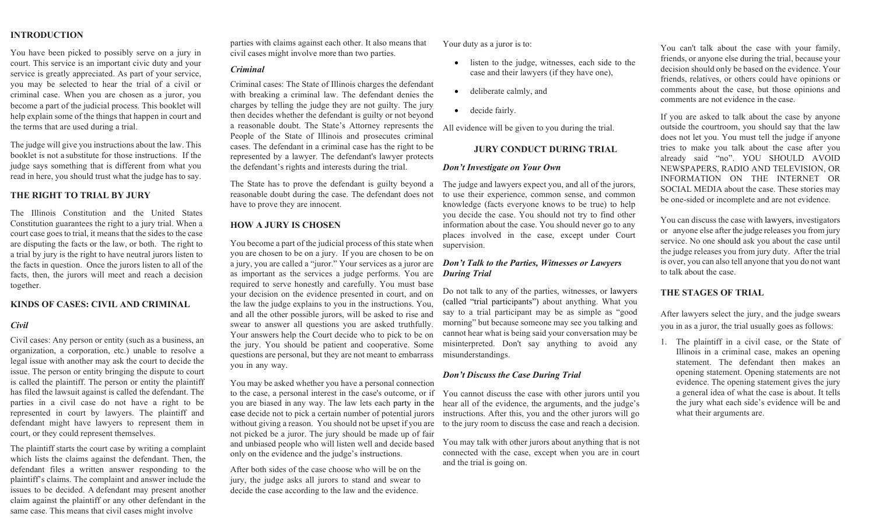# **INTRODUCTION**

You have been picked to possibly serve on a jury in court. This service is an important civic duty and your service is greatly appreciated. As part of your service, you may be selected to hear the trial of a civil or criminal case. When you are chosen as a juror, you become a part of the judicial process. This booklet will help explain some of the things that happen in court and the terms that are used during a trial.

The judge will give you instructions about the law. This booklet is not a substitute for those instructions. If the judge says something that is different from what you read in here, you should trust what the judge has to say.

## **THE RIGHT TO TRIAL BY JURY**

The Illinois Constitution and the United States Constitution guarantees the right to a jury trial. When a court case goes to trial, it means that the sides to the case are disputing the facts or the law, or both. The right to a trial by jury is the right to have neutral jurors listen to the facts in question. Once the jurors listen to all of the facts, then, the jurors will meet and reach a decision together.

#### **KINDS OF CASES: CIVIL AND CRIMINAL**

#### *Civil*

Civil cases: Any person or entity (such as a business, an organization, a corporation, etc.) unable to resolve a legal issue with another may ask the court to decide the issue. The person or entity bringing the dispute to court is called the plaintiff. The person or entity the plaintiff has filed the lawsuit against is called the defendant. The parties in a civil case do not have a right to be represented in court by lawyers. The plaintiff and defendant might have lawyers to represent them in court, or they could represent themselves.

The plaintiff starts the court case by writing a complaint which lists the claims against the defendant. Then, the defendant files a written answer responding to the plaintiff's claims. The complaint and answer include the issues to be decided. A defendant may present another claim against the plaintiff or any other defendant in the same case. This means that civil cases might involve

parties with claims against each other. It also means that civil cases might involve more than two parties.

#### *Criminal*

Criminal cases: The State of Illinois charges the defendant with breaking a criminal law. The defendant denies the charges by telling the judge they are not guilty. The jury then decides whether the defendant is guilty or not beyond a reasonable doubt. The State's Attorney represents the People of the State of Illinois and prosecutes criminal cases. The defendant in a criminal case has the right to be represented by a lawyer. The defendant's lawyer protects the defendant's rights and interests during the trial.

The State has to prove the defendant is guilty beyond a reasonable doubt during the case. The defendant does not have to prove they are innocent.

#### **HOW A JURY IS CHOSEN**

You become a part of the judicial process of this state when you are chosen to be on a jury. If you are chosen to be on a jury, you are called a "juror." Your services as a juror are as important as the services a judge performs. You are required to serve honestly and carefully. You must base your decision on the evidence presented in court, and on the law the judge explains to you in the instructions. You, and all the other possible jurors, will be asked to rise and swear to answer all questions you are asked truthfully. Your answers help the Court decide who to pick to be on the jury. You should be patient and cooperative. Some questions are personal, but they are not meant to embarrass you in any way.

You may be asked whether you have a personal connection to the case, a personal interest in the case's outcome, or if you are biased in any way. The law lets each party in the case decide not to pick a certain number of potential jurors without giving a reason. You should not be upset if you are not picked be a juror. The jury should be made up of fair and unbiased people who will listen well and decide based only on the evidence and the judge's instructions.

After both sides of the case choose who will be on the jury, the judge asks all jurors to stand and swear to decide the case according to the law and the evidence.

Your duty as a juror is to:

- listen to the judge, witnesses, each side to the case and their lawyers (if they have one),
- deliberate calmly, and
- decide fairly.

All evidence will be given to you during the trial.

## **JURY CONDUCT DURING TRIAL**

#### *Don't Investigate on Your Own*

The judge and lawyers expect you, and all of the jurors, to use their experience, common sense, and common knowledge (facts everyone knows to be true) to help you decide the case. You should not try to find other information about the case. You should never go to any places involved in the case, except under Court supervision.

# *Don't Talk to the Parties, Witnesses or Lawyers During Trial*

Do not talk to any of the parties, witnesses, or lawyers (called "trial participants") about anything. What you say to a trial participant may be as simple as "good morning" but because someone may see you talking and cannot hear what is being said your conversation may be misinterpreted. Don't say anything to avoid any misunderstandings.

## *Don't Discuss the Case During Trial*

You cannot discuss the case with other jurors until you hear all of the evidence, the arguments, and the judge's instructions. After this, you and the other jurors will go to the jury room to discuss the case and reach a decision.

You may talk with other jurors about anything that is not connected with the case, except when you are in court and the trial is going on.

You can't talk about the case with your family, friends, or anyone else during the trial, because your decision should only be based on the evidence. Your friends, relatives, or others could have opinions or comments about the case, but those opinions and comments are not evidence in the case.

If you are asked to talk about the case by anyone outside the courtroom, you should say that the law does not let you. You must tell the judge if anyone tries to make you talk about the case after you already said "no". YOU SHOULD AVOID NEWSPAPERS, RADIO AND TELEVISION, OR INFORMATION ON THE INTERNET OR SOCIAL MEDIA about the case. These stories may be one-sided or incomplete and are not evidence.

You can discuss the case with lawyers, investigators or anyone else after the judge releases you from jury service. No one should ask you about the case until the judge releases you from jury duty. After the trial is over, you can also tell anyone that you do not want to talk about the case.

## **THE STAGES OF TRIAL**

After lawyers select the jury, and the judge swears you in as a juror, the trial usually goes as follows:

1. The plaintiff in a civil case, or the State of Illinois in a criminal case, makes an opening statement. The defendant then makes an opening statement. Opening statements are not evidence. The opening statement gives the jury a general idea of what the case is about. It tells the jury what each side's evidence will be and what their arguments are.